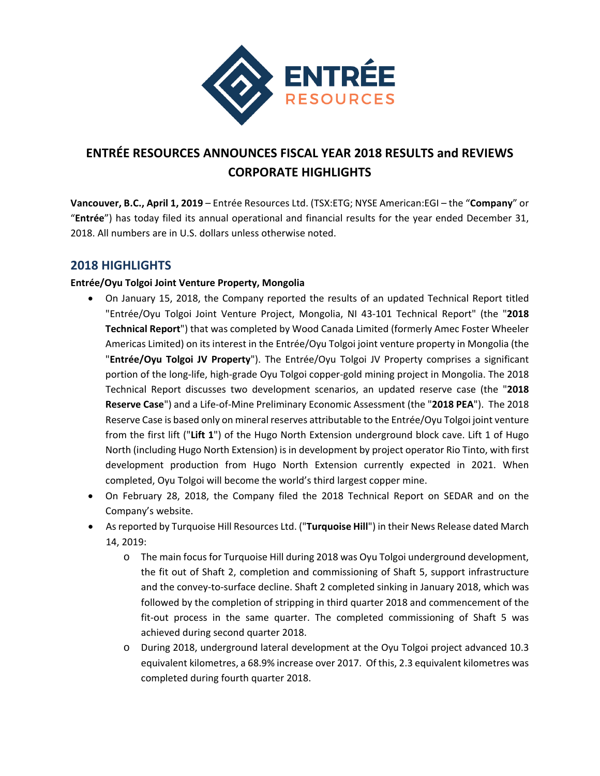

# **ENTRÉE RESOURCES ANNOUNCES FISCAL YEAR 2018 RESULTS and REVIEWS CORPORATE HIGHLIGHTS**

**Vancouver, B.C., April 1, 2019** – Entrée Resources Ltd. (TSX:ETG; NYSE American:EGI – the "**Company**" or "**Entrée**") has today filed its annual operational and financial results for the year ended December 31, 2018. All numbers are in U.S. dollars unless otherwise noted.

# **2018 HIGHLIGHTS**

## **Entrée/Oyu Tolgoi Joint Venture Property, Mongolia**

- On January 15, 2018, the Company reported the results of an updated Technical Report titled "Entrée/Oyu Tolgoi Joint Venture Project, Mongolia, NI 43‐101 Technical Report" (the "**2018 Technical Report**") that was completed by Wood Canada Limited (formerly Amec Foster Wheeler Americas Limited) on its interest in the Entrée/Oyu Tolgoi joint venture property in Mongolia (the "**Entrée/Oyu Tolgoi JV Property**"). The Entrée/Oyu Tolgoi JV Property comprises a significant portion of the long‐life, high‐grade Oyu Tolgoi copper‐gold mining project in Mongolia. The 2018 Technical Report discusses two development scenarios, an updated reserve case (the "**2018 Reserve Case**") and a Life‐of‐Mine Preliminary Economic Assessment (the "**2018 PEA**"). The 2018 Reserve Case is based only on mineral reserves attributable to the Entrée/Oyu Tolgoi joint venture from the first lift ("**Lift 1**") of the Hugo North Extension underground block cave. Lift 1 of Hugo North (including Hugo North Extension) is in development by project operator Rio Tinto, with first development production from Hugo North Extension currently expected in 2021. When completed, Oyu Tolgoi will become the world's third largest copper mine.
- On February 28, 2018, the Company filed the 2018 Technical Report on SEDAR and on the Company's website.
- **•** As reported by Turquoise Hill Resources Ltd. ("Turquoise Hill") in their News Release dated March 14, 2019:
	- o The main focus for Turquoise Hill during 2018 was Oyu Tolgoi underground development, the fit out of Shaft 2, completion and commissioning of Shaft 5, support infrastructure and the convey-to-surface decline. Shaft 2 completed sinking in January 2018, which was followed by the completion of stripping in third quarter 2018 and commencement of the fit-out process in the same quarter. The completed commissioning of Shaft 5 was achieved during second quarter 2018.
	- o During 2018, underground lateral development at the Oyu Tolgoi project advanced 10.3 equivalent kilometres, a 68.9% increase over 2017. Of this, 2.3 equivalent kilometres was completed during fourth quarter 2018.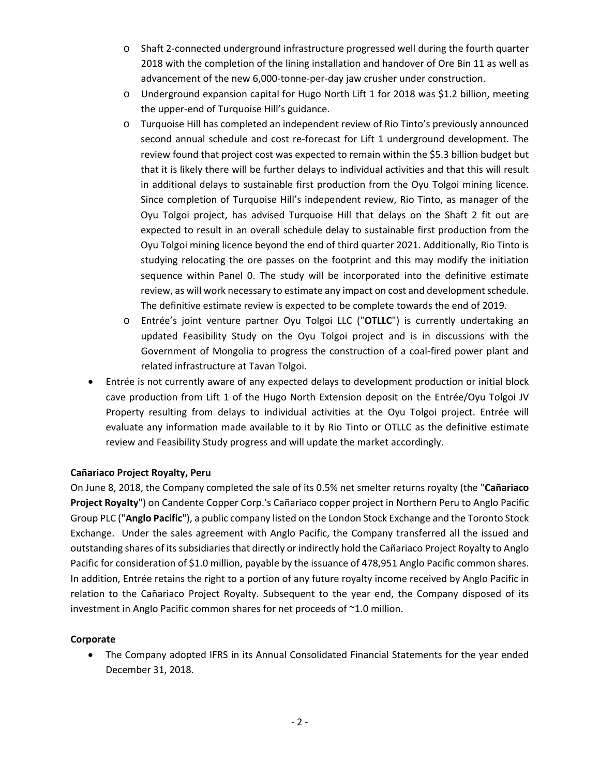- o Shaft 2‐connected underground infrastructure progressed well during the fourth quarter 2018 with the completion of the lining installation and handover of Ore Bin 11 as well as advancement of the new 6,000‐tonne‐per‐day jaw crusher under construction.
- o Underground expansion capital for Hugo North Lift 1 for 2018 was \$1.2 billion, meeting the upper‐end of Turquoise Hill's guidance.
- o Turquoise Hill has completed an independent review of Rio Tinto's previously announced second annual schedule and cost re-forecast for Lift 1 underground development. The review found that project cost was expected to remain within the \$5.3 billion budget but that it is likely there will be further delays to individual activities and that this will result in additional delays to sustainable first production from the Oyu Tolgoi mining licence. Since completion of Turquoise Hill's independent review, Rio Tinto, as manager of the Oyu Tolgoi project, has advised Turquoise Hill that delays on the Shaft 2 fit out are expected to result in an overall schedule delay to sustainable first production from the Oyu Tolgoi mining licence beyond the end of third quarter 2021. Additionally, Rio Tinto is studying relocating the ore passes on the footprint and this may modify the initiation sequence within Panel 0. The study will be incorporated into the definitive estimate review, as will work necessary to estimate any impact on cost and development schedule. The definitive estimate review is expected to be complete towards the end of 2019.
- o Entrée's joint venture partner Oyu Tolgoi LLC ("**OTLLC**") is currently undertaking an updated Feasibility Study on the Oyu Tolgoi project and is in discussions with the Government of Mongolia to progress the construction of a coal‐fired power plant and related infrastructure at Tavan Tolgoi.
- Entrée is not currently aware of any expected delays to development production or initial block cave production from Lift 1 of the Hugo North Extension deposit on the Entrée/Oyu Tolgoi JV Property resulting from delays to individual activities at the Oyu Tolgoi project. Entrée will evaluate any information made available to it by Rio Tinto or OTLLC as the definitive estimate review and Feasibility Study progress and will update the market accordingly.

## **Cañariaco Project Royalty, Peru**

On June 8, 2018, the Company completed the sale of its 0.5% net smelter returns royalty (the "**Cañariaco Project Royalty**") on Candente Copper Corp.'s Cañariaco copper project in Northern Peru to Anglo Pacific Group PLC ("**Anglo Pacific**"), a public company listed on the London Stock Exchange and the Toronto Stock Exchange. Under the sales agreement with Anglo Pacific, the Company transferred all the issued and outstanding shares of its subsidiaries that directly or indirectly hold the Cañariaco Project Royalty to Anglo Pacific for consideration of \$1.0 million, payable by the issuance of 478,951 Anglo Pacific common shares. In addition, Entrée retains the right to a portion of any future royalty income received by Anglo Pacific in relation to the Cañariaco Project Royalty. Subsequent to the year end, the Company disposed of its investment in Anglo Pacific common shares for net proceeds of ~1.0 million.

## **Corporate**

 The Company adopted IFRS in its Annual Consolidated Financial Statements for the year ended December 31, 2018.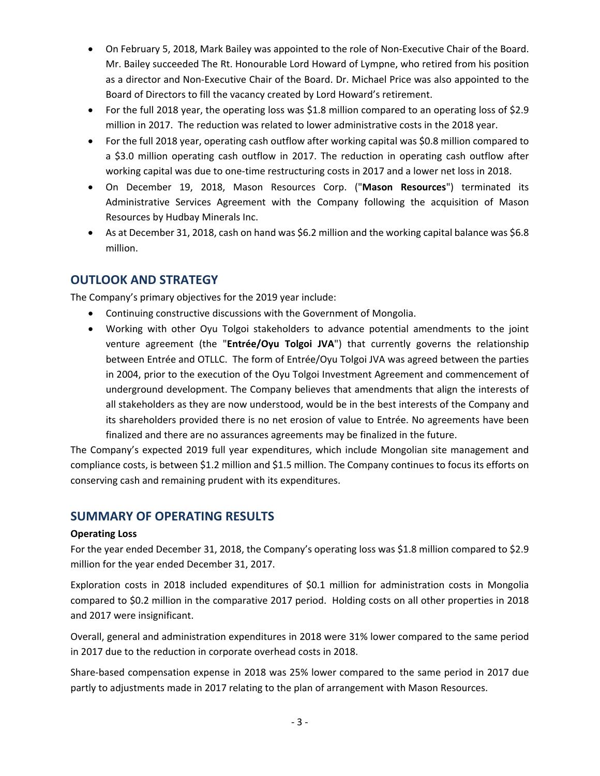- On February 5, 2018, Mark Bailey was appointed to the role of Non‐Executive Chair of the Board. Mr. Bailey succeeded The Rt. Honourable Lord Howard of Lympne, who retired from his position as a director and Non‐Executive Chair of the Board. Dr. Michael Price was also appointed to the Board of Directors to fill the vacancy created by Lord Howard's retirement.
- For the full 2018 year, the operating loss was \$1.8 million compared to an operating loss of \$2.9 million in 2017. The reduction was related to lower administrative costs in the 2018 year.
- For the full 2018 year, operating cash outflow after working capital was \$0.8 million compared to a \$3.0 million operating cash outflow in 2017. The reduction in operating cash outflow after working capital was due to one-time restructuring costs in 2017 and a lower net loss in 2018.
- On December 19, 2018, Mason Resources Corp. ("**Mason Resources**") terminated its Administrative Services Agreement with the Company following the acquisition of Mason Resources by Hudbay Minerals Inc.
- As at December 31, 2018, cash on hand was \$6.2 million and the working capital balance was \$6.8 million.

# **OUTLOOK AND STRATEGY**

The Company's primary objectives for the 2019 year include:

- Continuing constructive discussions with the Government of Mongolia.
- Working with other Oyu Tolgoi stakeholders to advance potential amendments to the joint venture agreement (the "**Entrée/Oyu Tolgoi JVA**") that currently governs the relationship between Entrée and OTLLC. The form of Entrée/Oyu Tolgoi JVA was agreed between the parties in 2004, prior to the execution of the Oyu Tolgoi Investment Agreement and commencement of underground development. The Company believes that amendments that align the interests of all stakeholders as they are now understood, would be in the best interests of the Company and its shareholders provided there is no net erosion of value to Entrée. No agreements have been finalized and there are no assurances agreements may be finalized in the future.

The Company's expected 2019 full year expenditures, which include Mongolian site management and compliance costs, is between \$1.2 million and \$1.5 million. The Company continues to focus its efforts on conserving cash and remaining prudent with its expenditures.

# **SUMMARY OF OPERATING RESULTS**

## **Operating Loss**

For the year ended December 31, 2018, the Company's operating loss was \$1.8 million compared to \$2.9 million for the year ended December 31, 2017.

Exploration costs in 2018 included expenditures of \$0.1 million for administration costs in Mongolia compared to \$0.2 million in the comparative 2017 period. Holding costs on all other properties in 2018 and 2017 were insignificant.

Overall, general and administration expenditures in 2018 were 31% lower compared to the same period in 2017 due to the reduction in corporate overhead costs in 2018.

Share‐based compensation expense in 2018 was 25% lower compared to the same period in 2017 due partly to adjustments made in 2017 relating to the plan of arrangement with Mason Resources.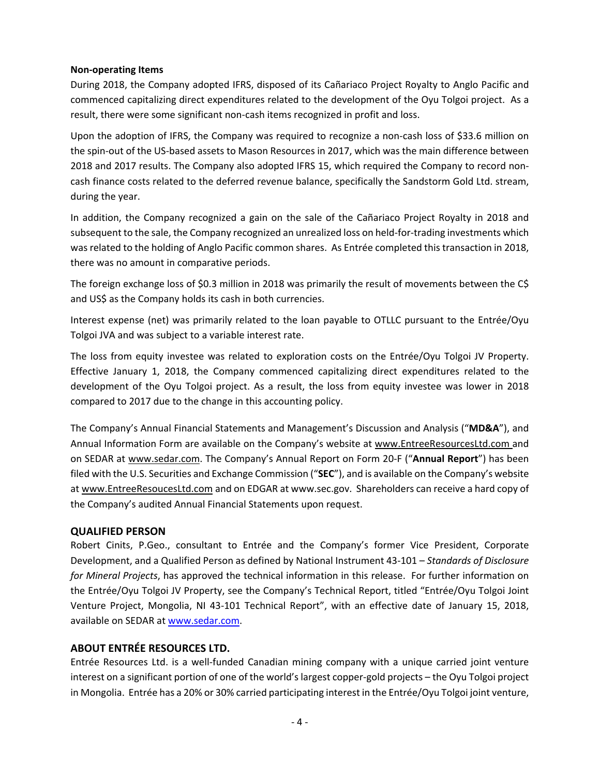#### **Non‐operating Items**

During 2018, the Company adopted IFRS, disposed of its Cañariaco Project Royalty to Anglo Pacific and commenced capitalizing direct expenditures related to the development of the Oyu Tolgoi project. As a result, there were some significant non-cash items recognized in profit and loss.

Upon the adoption of IFRS, the Company was required to recognize a non-cash loss of \$33.6 million on the spin‐out of the US‐based assets to Mason Resources in 2017, which was the main difference between 2018 and 2017 results. The Company also adopted IFRS 15, which required the Company to record non‐ cash finance costs related to the deferred revenue balance, specifically the Sandstorm Gold Ltd. stream, during the year.

In addition, the Company recognized a gain on the sale of the Cañariaco Project Royalty in 2018 and subsequent to the sale, the Company recognized an unrealized loss on held-for-trading investments which was related to the holding of Anglo Pacific common shares. As Entrée completed this transaction in 2018, there was no amount in comparative periods.

The foreign exchange loss of \$0.3 million in 2018 was primarily the result of movements between the C\$ and US\$ as the Company holds its cash in both currencies.

Interest expense (net) was primarily related to the loan payable to OTLLC pursuant to the Entrée/Oyu Tolgoi JVA and was subject to a variable interest rate.

The loss from equity investee was related to exploration costs on the Entrée/Oyu Tolgoi JV Property. Effective January 1, 2018, the Company commenced capitalizing direct expenditures related to the development of the Oyu Tolgoi project. As a result, the loss from equity investee was lower in 2018 compared to 2017 due to the change in this accounting policy.

The Company's Annual Financial Statements and Management's Discussion and Analysis ("**MD&A**"), and Annual Information Form are available on the Company's website at www.EntreeResourcesLtd.com and on SEDAR at www.sedar.com. The Company's Annual Report on Form 20‐F ("**Annual Report**") has been filed with the U.S. Securities and Exchange Commission ("**SEC**"), and is available on the Company's website at www.EntreeResoucesLtd.com and on EDGAR at www.sec.gov. Shareholders can receive a hard copy of the Company's audited Annual Financial Statements upon request.

#### **QUALIFIED PERSON**

Robert Cinits, P.Geo., consultant to Entrée and the Company's former Vice President, Corporate Development, and a Qualified Person as defined by National Instrument 43‐101 – *Standards of Disclosure for Mineral Projects*, has approved the technical information in this release.For further information on the Entrée/Oyu Tolgoi JV Property, see the Company's Technical Report, titled "Entrée/Oyu Tolgoi Joint Venture Project, Mongolia, NI 43‐101 Technical Report", with an effective date of January 15, 2018, available on SEDAR at www.sedar.com.

# **ABOUT ENTRÉE RESOURCES LTD.**

Entrée Resources Ltd. is a well‐funded Canadian mining company with a unique carried joint venture interest on a significant portion of one of the world'slargest copper‐gold projects – the Oyu Tolgoi project in Mongolia. Entrée has a 20% or 30% carried participating interest in the Entrée/Oyu Tolgoi joint venture,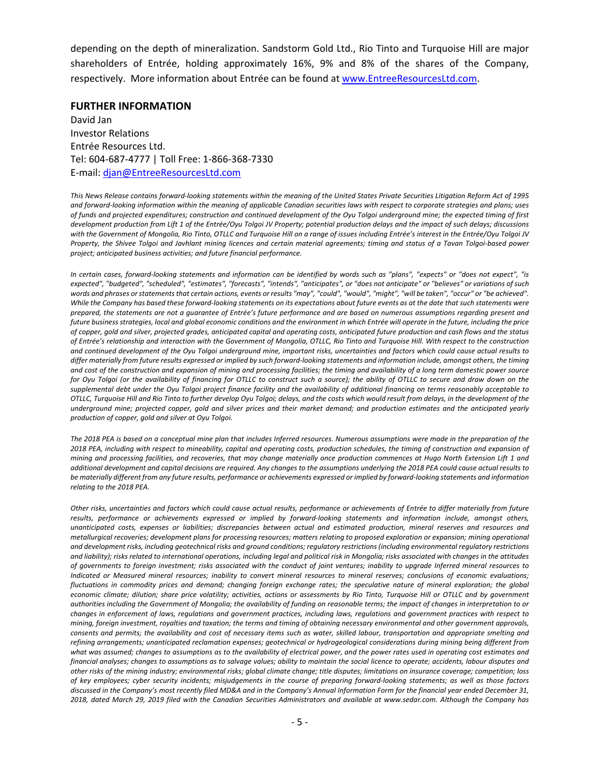depending on the depth of mineralization. Sandstorm Gold Ltd., Rio Tinto and Turquoise Hill are major shareholders of Entrée, holding approximately 16%, 9% and 8% of the shares of the Company, respectively. More information about Entrée can be found at www.EntreeResourcesLtd.com.

#### **FURTHER INFORMATION**

David Jan Investor Relations Entrée Resources Ltd. Tel: 604‐687‐4777 | Toll Free: 1‐866‐368‐7330 E‐mail: djan@EntreeResourcesLtd.com

This News Release contains forward-looking statements within the meaning of the United States Private Securities Litigation Reform Act of 1995 and forward-looking information within the meaning of applicable Canadian securities laws with respect to corporate strategies and plans; uses of funds and projected expenditures; construction and continued development of the Oyu Tolgoi underground mine; the expected timing of first development production from Lift 1 of the Entrée/Oyu Tolgoi JV Property; potential production delays and the impact of such delays; discussions with the Government of Mongolia, Rio Tinto, OTLLC and Turquoise Hill on a range of issues including Entrée's interest in the Entrée/Oyu Tolgoi JV Property, the Shivee Tolgoi and Javhlant mining licences and certain material agreements; timing and status of a Tavan Tolgoi-based power *project; anticipated business activities; and future financial performance.*

In certain cases, forward-looking statements and information can be identified by words such as "plans", "expects" or "does not expect", "is expected", "budgeted", "scheduled", "estimates", "forecasts", "intends", "anticipates", or "does not anticipate" or "believes" or variations of such words and phrases or statements that certain actions, events or results "may", "could", "would", "might", "will be taken", "occur" or "be achieved". While the Company has based these forward-looking statements on its expectations about future events as at the date that such statements were prepared, the statements are not a guarantee of Entrée's future performance and are based on numerous assumptions regarding present and future business strategies, local and global economic conditions and the environment in which Entrée will operate in the future, including the price of copper, gold and silver, projected grades, anticipated capital and operating costs, anticipated future production and cash flows and the status of Entrée's relationship and interaction with the Government of Mongolia, OTLLC, Rio Tinto and Turquoise Hill. With respect to the construction and continued development of the Oyu Tolgoi underground mine, important risks, uncertainties and factors which could cause actual results to differ materially from future results expressed or implied by such forward-looking statements and information include, amongst others, the timing and cost of the construction and expansion of mining and processing facilities; the timing and availability of a long term domestic power source for Oyu Tolgoi (or the availability of financing for OTLLC to construct such a source); the ability of OTLLC to secure and draw down on the supplemental debt under the Oyu Tolgoi project finance facility and the availability of additional financing on terms reasonably acceptable to OTLLC, Turquoise Hill and Rio Tinto to further develop Oyu Tolgoi; delays, and the costs which would result from delays, in the development of the underground mine; projected copper, gold and silver prices and their market demand; and production estimates and the anticipated yearly *production of copper, gold and silver at Oyu Tolgoi.* 

The 2018 PEA is based on a conceptual mine plan that includes Inferred resources. Numerous assumptions were made in the preparation of the 2018 PEA, including with respect to mineability, capital and operating costs, production schedules, the timing of construction and expansion of mining and processing facilities, and recoveries, that may change materially once production commences at Hugo North Extension Lift 1 and additional development and capital decisions are required. Any changes to the assumptions underlying the 2018 PEA could cause actual results to be materially different from any future results, performance or achievements expressed or implied by forward-looking statements and information *relating to the 2018 PEA.* 

Other risks, uncertainties and factors which could cause actual results, performance or achievements of Entrée to differ materially from future results, performance or achievements expressed or implied by forward-looking statements and information include, amonast others, unanticipated costs, expenses or liabilities; discrepancies between actual and estimated production, mineral reserves and resources and metallurgical recoveries; development plans for processing resources; matters relating to proposed exploration or expansion; mining operational and development risks, including geotechnical risks and ground conditions; regulatory restrictions (including environmental regulatory restrictions and liability); risks related to international operations, including legal and political risk in Mongolia; risks associated with changes in the attitudes of governments to foreign investment; risks associated with the conduct of joint ventures; inability to upgrade Inferred mineral resources to Indicated or Measured mineral resources; inability to convert mineral resources to mineral reserves; conclusions of economic evaluations; fluctuations in commodity prices and demand; changing foreign exchange rates; the speculative nature of mineral exploration; the global economic climate; dilution; share price volatility; activities, actions or assessments by Rio Tinto, Turquoise Hill or OTLLC and by government authorities including the Government of Mongolia; the availability of funding on reasonable terms; the impact of changes in interpretation to or changes in enforcement of laws, regulations and government practices, including laws, regulations and government practices with respect to mining, foreign investment, royalties and taxation; the terms and timing of obtaining necessary environmental and other government approvals, consents and permits; the availability and cost of necessary items such as water, skilled labour, transportation and appropriate smelting and refining arrangements; unanticipated reclamation expenses; geotechnical or hydrogeological considerations during mining being different from what was assumed; changes to assumptions as to the availability of electrical power, and the power rates used in operating cost estimates and financial analyses; changes to assumptions as to salvage values; ability to maintain the social licence to operate; accidents, labour disputes and other risks of the mining industry; environmental risks; global climate change; title disputes; limitations on insurance coverage; competition; loss of key employees; cyber security incidents; misjudgements in the course of preparing forward-looking statements; as well as those factors discussed in the Company's most recently filed MD&A and in the Company's Annual Information Form for the financial year ended December 31, 2018, dated March 29, 2019 filed with the Canadian Securities Administrators and available at www.sedar.com. Although the Company has